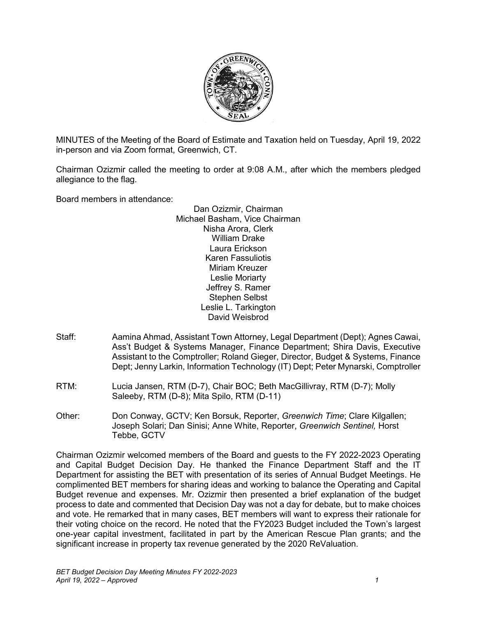

MINUTES of the Meeting of the Board of Estimate and Taxation held on Tuesday, April 19, 2022 in-person and via Zoom format, Greenwich, CT.

Chairman Ozizmir called the meeting to order at 9:08 A.M., after which the members pledged allegiance to the flag.

Board members in attendance:

Dan Ozizmir, Chairman Michael Basham, Vice Chairman Nisha Arora, Clerk William Drake Laura Erickson Karen Fassuliotis Miriam Kreuzer Leslie Moriarty Jeffrey S. Ramer Stephen Selbst Leslie L. Tarkington David Weisbrod

- Staff: Aamina Ahmad, Assistant Town Attorney, Legal Department (Dept); Agnes Cawai, Ass't Budget & Systems Manager, Finance Department; Shira Davis, Executive Assistant to the Comptroller; Roland Gieger, Director, Budget & Systems, Finance Dept; Jenny Larkin, Information Technology (IT) Dept; Peter Mynarski, Comptroller
- RTM: Lucia Jansen, RTM (D-7), Chair BOC; Beth MacGillivray, RTM (D-7); Molly Saleeby, RTM (D-8); Mita Spilo, RTM (D-11)
- Other: Don Conway, GCTV; Ken Borsuk, Reporter, *Greenwich Time*; Clare Kilgallen; Joseph Solari; Dan Sinisi; Anne White, Reporter, *Greenwich Sentinel,* Horst Tebbe, GCTV

Chairman Ozizmir welcomed members of the Board and guests to the FY 2022-2023 Operating and Capital Budget Decision Day. He thanked the Finance Department Staff and the IT Department for assisting the BET with presentation of its series of Annual Budget Meetings. He complimented BET members for sharing ideas and working to balance the Operating and Capital Budget revenue and expenses. Mr. Ozizmir then presented a brief explanation of the budget process to date and commented that Decision Day was not a day for debate, but to make choices and vote. He remarked that in many cases, BET members will want to express their rationale for their voting choice on the record. He noted that the FY2023 Budget included the Town's largest one-year capital investment, facilitated in part by the American Rescue Plan grants; and the significant increase in property tax revenue generated by the 2020 ReValuation.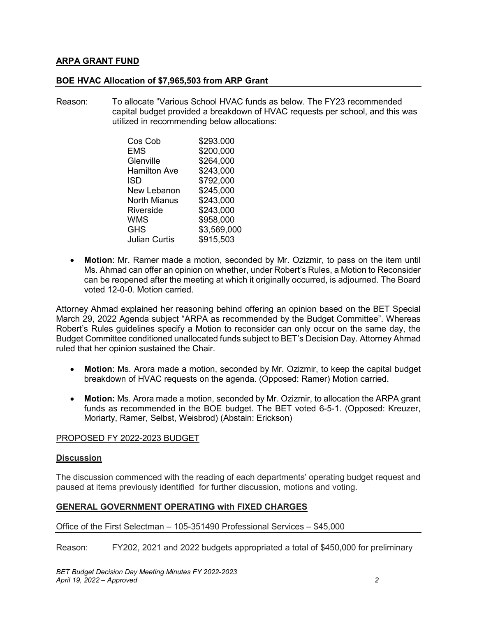## **ARPA GRANT FUND**

#### **BOE HVAC Allocation of \$7,965,503 from ARP Grant**

Reason: To allocate "Various School HVAC funds as below. The FY23 recommended capital budget provided a breakdown of HVAC requests per school, and this was utilized in recommending below allocations:

| Cos Cob              | \$293.000   |
|----------------------|-------------|
| EMS                  | \$200,000   |
| Glenville            | \$264,000   |
| Hamilton Ave         | \$243,000   |
| ISD                  | \$792,000   |
| New Lebanon          | \$245,000   |
| <b>North Mianus</b>  | \$243,000   |
| Riverside            | \$243,000   |
| <b>WMS</b>           | \$958,000   |
| <b>GHS</b>           | \$3,569,000 |
| <b>Julian Curtis</b> | \$915,503   |

• **Motion**: Mr. Ramer made a motion, seconded by Mr. Ozizmir, to pass on the item until Ms. Ahmad can offer an opinion on whether, under Robert's Rules, a Motion to Reconsider can be reopened after the meeting at which it originally occurred, is adjourned. The Board voted 12-0-0. Motion carried.

Attorney Ahmad explained her reasoning behind offering an opinion based on the BET Special March 29, 2022 Agenda subject "ARPA as recommended by the Budget Committee". Whereas Robert's Rules guidelines specify a Motion to reconsider can only occur on the same day, the Budget Committee conditioned unallocated funds subject to BET's Decision Day. Attorney Ahmad ruled that her opinion sustained the Chair.

- **Motion**: Ms. Arora made a motion, seconded by Mr. Ozizmir, to keep the capital budget breakdown of HVAC requests on the agenda. (Opposed: Ramer) Motion carried.
- **Motion:** Ms. Arora made a motion, seconded by Mr. Ozizmir, to allocation the ARPA grant funds as recommended in the BOE budget. The BET voted 6-5-1. (Opposed: Kreuzer, Moriarty, Ramer, Selbst, Weisbrod) (Abstain: Erickson)

## PROPOSED FY 2022-2023 BUDGET

#### **Discussion**

The discussion commenced with the reading of each departments' operating budget request and paused at items previously identified for further discussion, motions and voting.

## **GENERAL GOVERNMENT OPERATING with FIXED CHARGES**

Office of the First Selectman – 105-351490 Professional Services – \$45,000

Reason: FY202, 2021 and 2022 budgets appropriated a total of \$450,000 for preliminary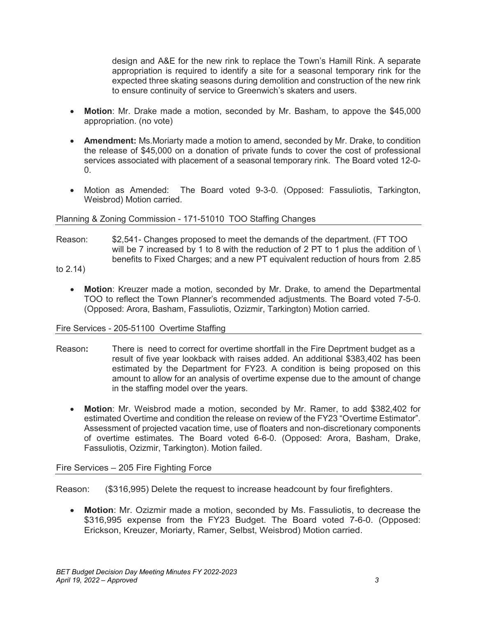design and A&E for the new rink to replace the Town's Hamill Rink. A separate appropriation is required to identify a site for a seasonal temporary rink for the expected three skating seasons during demolition and construction of the new rink to ensure continuity of service to Greenwich's skaters and users.

- **Motion**: Mr. Drake made a motion, seconded by Mr. Basham, to appove the \$45,000 appropriation. (no vote)
- **Amendment:** Ms.Moriarty made a motion to amend, seconded by Mr. Drake, to condition the release of \$45,000 on a donation of private funds to cover the cost of professional services associated with placement of a seasonal temporary rink. The Board voted 12-0-  $\Omega$
- Motion as Amended: The Board voted 9-3-0. (Opposed: Fassuliotis, Tarkington, Weisbrod) Motion carried.

#### Planning & Zoning Commission - 171-51010 TOO Staffing Changes

- Reason: \$2,541- Changes proposed to meet the demands of the department. (FT TOO will be 7 increased by 1 to 8 with the reduction of 2 PT to 1 plus the addition of  $\setminus$ benefits to Fixed Charges; and a new PT equivalent reduction of hours from 2.85 to 2.14)
	- **Motion**: Kreuzer made a motion, seconded by Mr. Drake, to amend the Departmental TOO to reflect the Town Planner's recommended adjustments. The Board voted 7-5-0. (Opposed: Arora, Basham, Fassuliotis, Ozizmir, Tarkington) Motion carried.

#### Fire Services - 205-51100 Overtime Staffing

- Reason**:** There is need to correct for overtime shortfall in the Fire Deprtment budget as a result of five year lookback with raises added. An additional \$383,402 has been estimated by the Department for FY23. A condition is being proposed on this amount to allow for an analysis of overtime expense due to the amount of change in the staffing model over the years.
	- **Motion**: Mr. Weisbrod made a motion, seconded by Mr. Ramer, to add \$382,402 for estimated Overtime and condition the release on review of the FY23 "Overtime Estimator". Assessment of projected vacation time, use of floaters and non-discretionary components of overtime estimates. The Board voted 6-6-0. (Opposed: Arora, Basham, Drake, Fassuliotis, Ozizmir, Tarkington). Motion failed.

## Fire Services – 205 Fire Fighting Force

Reason: (\$316,995) Delete the request to increase headcount by four firefighters.

• **Motion**: Mr. Ozizmir made a motion, seconded by Ms. Fassuliotis, to decrease the \$316,995 expense from the FY23 Budget. The Board voted 7-6-0. (Opposed: Erickson, Kreuzer, Moriarty, Ramer, Selbst, Weisbrod) Motion carried.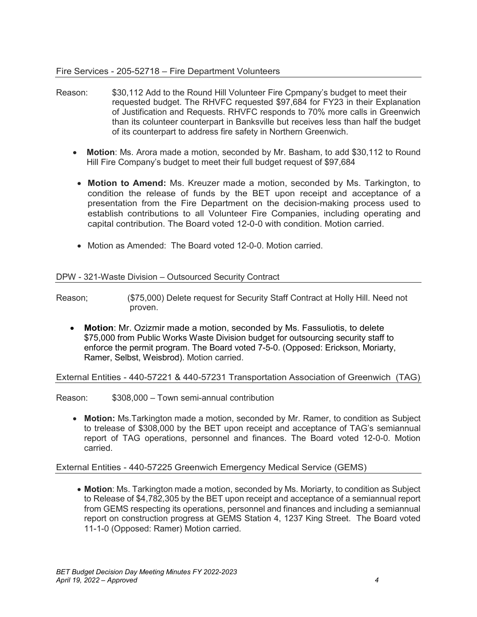- Reason: \$30,112 Add to the Round Hill Volunteer Fire Cpmpany's budget to meet their requested budget. The RHVFC requested \$97,684 for FY23 in their Explanation of Justification and Requests. RHVFC responds to 70% more calls in Greenwich than its colunteer counterpart in Banksville but receives less than half the budget of its counterpart to address fire safety in Northern Greenwich.
	- **Motion**: Ms. Arora made a motion, seconded by Mr. Basham, to add \$30,112 to Round Hill Fire Company's budget to meet their full budget request of \$97,684
	- **Motion to Amend:** Ms. Kreuzer made a motion, seconded by Ms. Tarkington, to condition the release of funds by the BET upon receipt and acceptance of a presentation from the Fire Department on the decision-making process used to establish contributions to all Volunteer Fire Companies, including operating and capital contribution. The Board voted 12-0-0 with condition. Motion carried.
	- Motion as Amended: The Board voted 12-0-0. Motion carried.

## DPW - 321-Waste Division – Outsourced Security Contract

Reason; (\$75,000) Delete request for Security Staff Contract at Holly Hill. Need not proven.

• **Motion**: Mr. Ozizmir made a motion, seconded by Ms. Fassuliotis, to delete \$75,000 from Public Works Waste Division budget for outsourcing security staff to enforce the permit program. The Board voted 7-5-0. (Opposed: Erickson, Moriarty, Ramer, Selbst, Weisbrod). Motion carried.

## External Entities - 440-57221 & 440-57231 Transportation Association of Greenwich (TAG)

Reason: \$308,000 – Town semi-annual contribution

• **Motion:** Ms.Tarkington made a motion, seconded by Mr. Ramer, to condition as Subject to trelease of \$308,000 by the BET upon receipt and acceptance of TAG's semiannual report of TAG operations, personnel and finances. The Board voted 12-0-0. Motion carried.

## External Entities - 440-57225 Greenwich Emergency Medical Service (GEMS)

• **Motion**: Ms. Tarkington made a motion, seconded by Ms. Moriarty, to condition as Subject to Release of \$4,782,305 by the BET upon receipt and acceptance of a semiannual report from GEMS respecting its operations, personnel and finances and including a semiannual report on construction progress at GEMS Station 4, 1237 King Street. The Board voted 11-1-0 (Opposed: Ramer) Motion carried.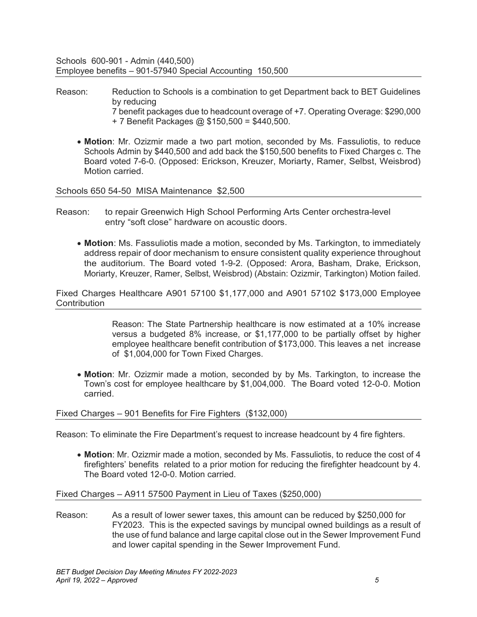Schools 600-901 - Admin (440,500) Employee benefits – 901-57940 Special Accounting 150,500

- Reason: Reduction to Schools is a combination to get Department back to BET Guidelines by reducing 7 benefit packages due to headcount overage of +7. Operating Overage: \$290,000 + 7 Benefit Packages @ \$150,500 = \$440,500.
	- **Motion**: Mr. Ozizmir made a two part motion, seconded by Ms. Fassuliotis, to reduce Schools Admin by \$440,500 and add back the \$150,500 benefits to Fixed Charges c. The Board voted 7-6-0. (Opposed: Erickson, Kreuzer, Moriarty, Ramer, Selbst, Weisbrod) Motion carried.

Schools 650 54-50 MISA Maintenance \$2,500

- Reason: to repair Greenwich High School Performing Arts Center orchestra-level entry "soft close" hardware on acoustic doors.
	- **Motion**: Ms. Fassuliotis made a motion, seconded by Ms. Tarkington, to immediately address repair of door mechanism to ensure consistent quality experience throughout the auditorium. The Board voted 1-9-2. (Opposed: Arora, Basham, Drake, Erickson, Moriarty, Kreuzer, Ramer, Selbst, Weisbrod) (Abstain: Ozizmir, Tarkington) Motion failed.

Fixed Charges Healthcare A901 57100 \$1,177,000 and A901 57102 \$173,000 Employee **Contribution** 

> Reason: The State Partnership healthcare is now estimated at a 10% increase versus a budgeted 8% increase, or \$1,177,000 to be partially offset by higher employee healthcare benefit contribution of \$173,000. This leaves a net increase of \$1,004,000 for Town Fixed Charges.

• **Motion**: Mr. Ozizmir made a motion, seconded by by Ms. Tarkington, to increase the Town's cost for employee healthcare by \$1,004,000. The Board voted 12-0-0. Motion carried.

## Fixed Charges – 901 Benefits for Fire Fighters (\$132,000)

Reason: To eliminate the Fire Department's request to increase headcount by 4 fire fighters.

• **Motion**: Mr. Ozizmir made a motion, seconded by Ms. Fassuliotis, to reduce the cost of 4 firefighters' benefits related to a prior motion for reducing the firefighter headcount by 4. The Board voted 12-0-0. Motion carried.

#### Fixed Charges – A911 57500 Payment in Lieu of Taxes (\$250,000)

Reason: As a result of lower sewer taxes, this amount can be reduced by \$250,000 for FY2023. This is the expected savings by muncipal owned buildings as a result of the use of fund balance and large capital close out in the Sewer Improvement Fund and lower capital spending in the Sewer Improvement Fund.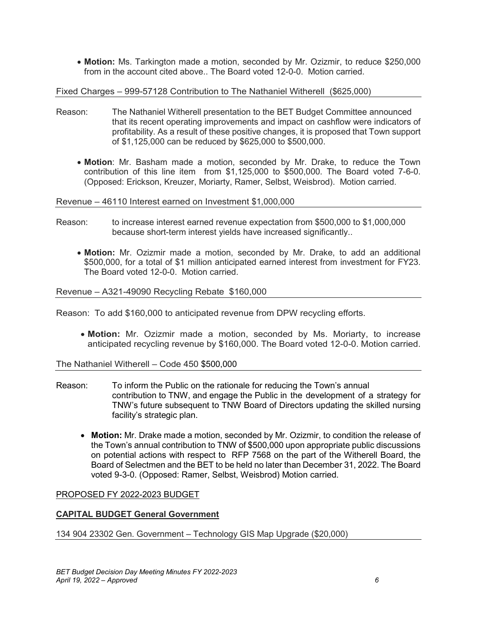• **Motion:** Ms. Tarkington made a motion, seconded by Mr. Ozizmir, to reduce \$250,000 from in the account cited above.. The Board voted 12-0-0. Motion carried.

Fixed Charges – 999-57128 Contribution to The Nathaniel Witherell (\$625,000)

- Reason: The Nathaniel Witherell presentation to the BET Budget Committee announced that its recent operating improvements and impact on cashflow were indicators of profitability. As a result of these positive changes, it is proposed that Town support of \$1,125,000 can be reduced by \$625,000 to \$500,000.
	- **Motion**: Mr. Basham made a motion, seconded by Mr. Drake, to reduce the Town contribution of this line item from \$1,125,000 to \$500,000. The Board voted 7-6-0. (Opposed: Erickson, Kreuzer, Moriarty, Ramer, Selbst, Weisbrod). Motion carried.

Revenue – 46110 Interest earned on Investment \$1,000,000

- Reason: to increase interest earned revenue expectation from \$500,000 to \$1,000,000 because short-term interest yields have increased significantly..
	- **Motion:** Mr. Ozizmir made a motion, seconded by Mr. Drake, to add an additional \$500,000, for a total of \$1 million anticipated earned interest from investment for FY23. The Board voted 12-0-0. Motion carried.

#### Revenue – A321-49090 Recycling Rebate \$160,000

Reason: To add \$160,000 to anticipated revenue from DPW recycling efforts.

• **Motion:** Mr. Ozizmir made a motion, seconded by Ms. Moriarty, to increase anticipated recycling revenue by \$160,000. The Board voted 12-0-0. Motion carried.

The Nathaniel Witherell – Code 450 \$500,000

- Reason: To inform the Public on the rationale for reducing the Town's annual contribution to TNW, and engage the Public in the development of a strategy for TNW's future subsequent to TNW Board of Directors updating the skilled nursing facility's strategic plan.
	- **Motion:** Mr. Drake made a motion, seconded by Mr. Ozizmir, to condition the release of the Town's annual contribution to TNW of \$500,000 upon appropriate public discussions on potential actions with respect to RFP 7568 on the part of the Witherell Board, the Board of Selectmen and the BET to be held no later than December 31, 2022. The Board voted 9-3-0. (Opposed: Ramer, Selbst, Weisbrod) Motion carried.

## PROPOSED FY 2022-2023 BUDGET

## **CAPITAL BUDGET General Government**

134 904 23302 Gen. Government – Technology GIS Map Upgrade (\$20,000)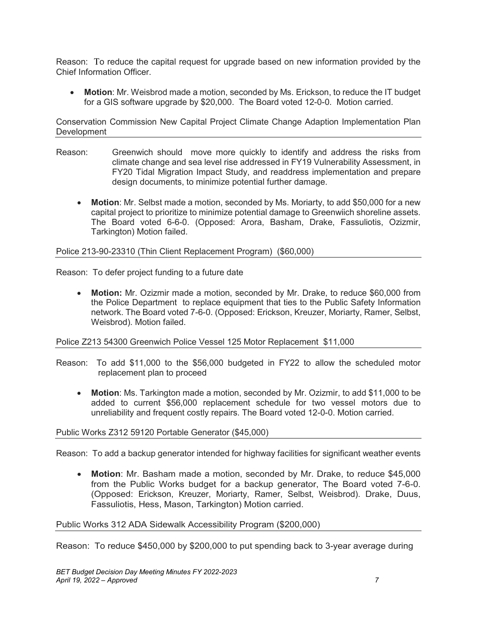Reason: To reduce the capital request for upgrade based on new information provided by the Chief Information Officer.

• **Motion**: Mr. Weisbrod made a motion, seconded by Ms. Erickson, to reduce the IT budget for a GIS software upgrade by \$20,000. The Board voted 12-0-0. Motion carried.

Conservation Commission New Capital Project Climate Change Adaption Implementation Plan **Development** 

- Reason: Greenwich should move more quickly to identify and address the risks from climate change and sea level rise addressed in FY19 Vulnerability Assessment, in FY20 Tidal Migration Impact Study, and readdress implementation and prepare design documents, to minimize potential further damage.
	- **Motion**: Mr. Selbst made a motion, seconded by Ms. Moriarty, to add \$50,000 for a new capital project to prioritize to minimize potential damage to Greenwiich shoreline assets. The Board voted 6-6-0. (Opposed: Arora, Basham, Drake, Fassuliotis, Ozizmir, Tarkington) Motion failed.

#### Police 213-90-23310 (Thin Client Replacement Program) (\$60,000)

Reason: To defer project funding to a future date

• **Motion:** Mr. Ozizmir made a motion, seconded by Mr. Drake, to reduce \$60,000 from the Police Department to replace equipment that ties to the Public Safety Information network. The Board voted 7-6-0. (Opposed: Erickson, Kreuzer, Moriarty, Ramer, Selbst, Weisbrod). Motion failed.

#### Police Z213 54300 Greenwich Police Vessel 125 Motor Replacement \$11,000

- Reason: To add \$11,000 to the \$56,000 budgeted in FY22 to allow the scheduled motor replacement plan to proceed
	- **Motion**: Ms. Tarkington made a motion, seconded by Mr. Ozizmir, to add \$11,000 to be added to current \$56,000 replacement schedule for two vessel motors due to unreliability and frequent costly repairs. The Board voted 12-0-0. Motion carried.

#### Public Works Z312 59120 Portable Generator (\$45,000)

Reason: To add a backup generator intended for highway facilities for significant weather events

• **Motion**: Mr. Basham made a motion, seconded by Mr. Drake, to reduce \$45,000 from the Public Works budget for a backup generator, The Board voted 7-6-0. (Opposed: Erickson, Kreuzer, Moriarty, Ramer, Selbst, Weisbrod). Drake, Duus, Fassuliotis, Hess, Mason, Tarkington) Motion carried.

#### Public Works 312 ADA Sidewalk Accessibility Program (\$200,000)

Reason: To reduce \$450,000 by \$200,000 to put spending back to 3-year average during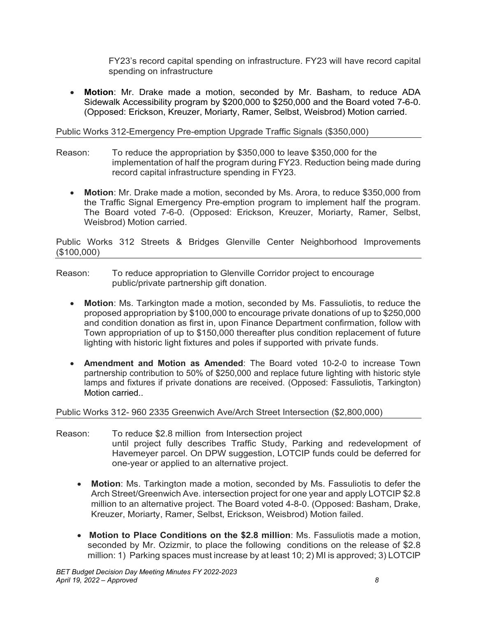FY23's record capital spending on infrastructure. FY23 will have record capital spending on infrastructure

• **Motion**: Mr. Drake made a motion, seconded by Mr. Basham, to reduce ADA Sidewalk Accessibility program by \$200,000 to \$250,000 and the Board voted 7-6-0. (Opposed: Erickson, Kreuzer, Moriarty, Ramer, Selbst, Weisbrod) Motion carried.

Public Works 312-Emergency Pre-emption Upgrade Traffic Signals (\$350,000)

- Reason: To reduce the appropriation by \$350,000 to leave \$350,000 for the implementation of half the program during FY23. Reduction being made during record capital infrastructure spending in FY23.
	- **Motion**: Mr. Drake made a motion, seconded by Ms. Arora, to reduce \$350,000 from the Traffic Signal Emergency Pre-emption program to implement half the program. The Board voted 7-6-0. (Opposed: Erickson, Kreuzer, Moriarty, Ramer, Selbst, Weisbrod) Motion carried.

Public Works 312 Streets & Bridges Glenville Center Neighborhood Improvements (\$100,000)

- Reason: To reduce appropriation to Glenville Corridor project to encourage public/private partnership gift donation.
	- **Motion**: Ms. Tarkington made a motion, seconded by Ms. Fassuliotis, to reduce the proposed appropriation by \$100,000 to encourage private donations of up to \$250,000 and condition donation as first in, upon Finance Department confirmation, follow with Town appropriation of up to \$150,000 thereafter plus condition replacement of future lighting with historic light fixtures and poles if supported with private funds.
	- **Amendment and Motion as Amended**: The Board voted 10-2-0 to increase Town partnership contribution to 50% of \$250,000 and replace future lighting with historic style lamps and fixtures if private donations are received. (Opposed: Fassuliotis, Tarkington) Motion carried..

## Public Works 312- 960 2335 Greenwich Ave/Arch Street Intersection (\$2,800,000)

- Reason: To reduce \$2.8 million from Intersection project until project fully describes Traffic Study, Parking and redevelopment of Havemeyer parcel. On DPW suggestion, LOTCIP funds could be deferred for one-year or applied to an alternative project.
	- **Motion**: Ms. Tarkington made a motion, seconded by Ms. Fassuliotis to defer the Arch Street/Greenwich Ave. intersection project for one year and apply LOTCIP \$2.8 million to an alternative project. The Board voted 4-8-0. (Opposed: Basham, Drake, Kreuzer, Moriarty, Ramer, Selbst, Erickson, Weisbrod) Motion failed.
	- • **Motion to Place Conditions on the \$2.8 million**: Ms. Fassuliotis made a motion, seconded by Mr. Ozizmir, to place the following conditions on the release of \$2.8 million: 1) Parking spaces must increase by at least 10; 2) MI is approved; 3) LOTCIP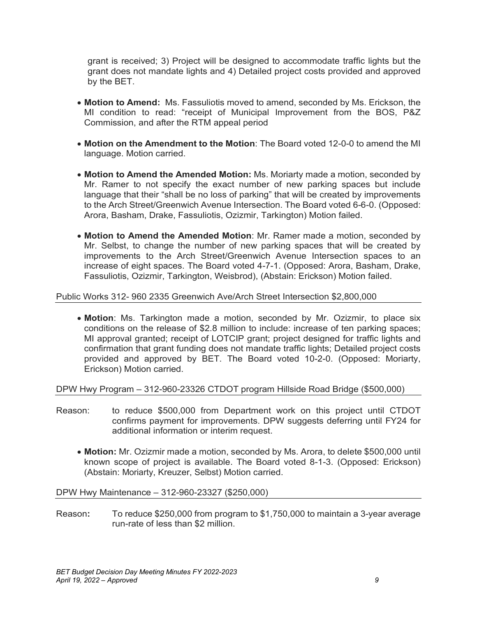grant is received; 3) Project will be designed to accommodate traffic lights but the grant does not mandate lights and 4) Detailed project costs provided and approved by the BET.

- **Motion to Amend:** Ms. Fassuliotis moved to amend, seconded by Ms. Erickson, the MI condition to read: "receipt of Municipal Improvement from the BOS, P&Z Commission, and after the RTM appeal period
- **Motion on the Amendment to the Motion**: The Board voted 12-0-0 to amend the MI language. Motion carried.
- **Motion to Amend the Amended Motion:** Ms. Moriarty made a motion, seconded by Mr. Ramer to not specify the exact number of new parking spaces but include language that their "shall be no loss of parking" that will be created by improvements to the Arch Street/Greenwich Avenue Intersection. The Board voted 6-6-0. (Opposed: Arora, Basham, Drake, Fassuliotis, Ozizmir, Tarkington) Motion failed.
- **Motion to Amend the Amended Motion**: Mr. Ramer made a motion, seconded by Mr. Selbst, to change the number of new parking spaces that will be created by improvements to the Arch Street/Greenwich Avenue Intersection spaces to an increase of eight spaces. The Board voted 4-7-1. (Opposed: Arora, Basham, Drake, Fassuliotis, Ozizmir, Tarkington, Weisbrod), (Abstain: Erickson) Motion failed.

#### Public Works 312- 960 2335 Greenwich Ave/Arch Street Intersection \$2,800,000

• **Motion**: Ms. Tarkington made a motion, seconded by Mr. Ozizmir, to place six conditions on the release of \$2.8 million to include: increase of ten parking spaces; MI approval granted; receipt of LOTCIP grant; project designed for traffic lights and confirmation that grant funding does not mandate traffic lights; Detailed project costs provided and approved by BET. The Board voted 10-2-0. (Opposed: Moriarty, Erickson) Motion carried.

DPW Hwy Program – 312-960-23326 CTDOT program Hillside Road Bridge (\$500,000)

- Reason: to reduce \$500,000 from Department work on this project until CTDOT confirms payment for improvements. DPW suggests deferring until FY24 for additional information or interim request.
	- **Motion:** Mr. Ozizmir made a motion, seconded by Ms. Arora, to delete \$500,000 until known scope of project is available. The Board voted 8-1-3. (Opposed: Erickson) (Abstain: Moriarty, Kreuzer, Selbst) Motion carried.

#### DPW Hwy Maintenance – 312-960-23327 (\$250,000)

Reason**:** To reduce \$250,000 from program to \$1,750,000 to maintain a 3-year average run-rate of less than \$2 million.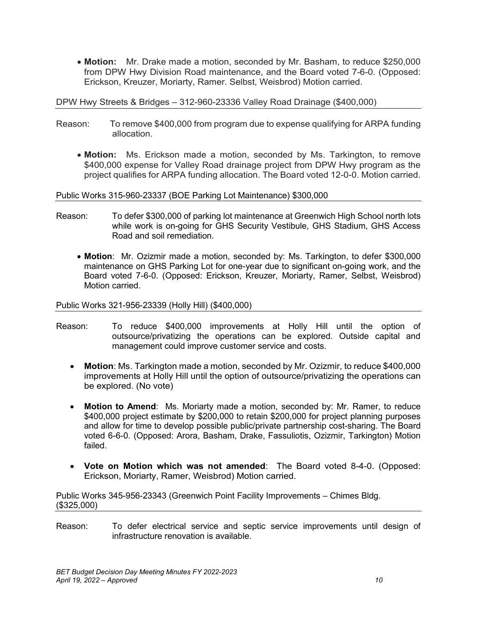• **Motion:** Mr. Drake made a motion, seconded by Mr. Basham, to reduce \$250,000 from DPW Hwy Division Road maintenance, and the Board voted 7-6-0. (Opposed: Erickson, Kreuzer, Moriarty, Ramer. Selbst, Weisbrod) Motion carried.

DPW Hwy Streets & Bridges – 312-960-23336 Valley Road Drainage (\$400,000)

- Reason: To remove \$400,000 from program due to expense qualifying for ARPA funding allocation.
	- **Motion:** Ms. Erickson made a motion, seconded by Ms. Tarkington, to remove \$400,000 expense for Valley Road drainage project from DPW Hwy program as the project qualifies for ARPA funding allocation. The Board voted 12-0-0. Motion carried.

Public Works 315-960-23337 (BOE Parking Lot Maintenance) \$300,000

- Reason: To defer \$300,000 of parking lot maintenance at Greenwich High School north lots while work is on-going for GHS Security Vestibule, GHS Stadium, GHS Access Road and soil remediation.
	- **Motion**: Mr. Ozizmir made a motion, seconded by: Ms. Tarkington, to defer \$300,000 maintenance on GHS Parking Lot for one-year due to significant on-going work, and the Board voted 7-6-0. (Opposed: Erickson, Kreuzer, Moriarty, Ramer, Selbst, Weisbrod) Motion carried.

Public Works 321-956-23339 (Holly Hill) (\$400,000)

- Reason: To reduce \$400,000 improvements at Holly Hill until the option of outsource/privatizing the operations can be explored. Outside capital and management could improve customer service and costs.
	- **Motion**: Ms. Tarkington made a motion, seconded by Mr. Ozizmir, to reduce \$400,000 improvements at Holly Hill until the option of outsource/privatizing the operations can be explored. (No vote)
	- **Motion to Amend**: Ms. Moriarty made a motion, seconded by: Mr. Ramer, to reduce \$400,000 project estimate by \$200,000 to retain \$200,000 for project planning purposes and allow for time to develop possible public/private partnership cost-sharing. The Board voted 6-6-0. (Opposed: Arora, Basham, Drake, Fassuliotis, Ozizmir, Tarkington) Motion failed.
	- **Vote on Motion which was not amended**: The Board voted 8-4-0. (Opposed: Erickson, Moriarty, Ramer, Weisbrod) Motion carried.

Public Works 345-956-23343 (Greenwich Point Facility Improvements – Chimes Bldg. (\$325,000)

Reason: To defer electrical service and septic service improvements until design of infrastructure renovation is available.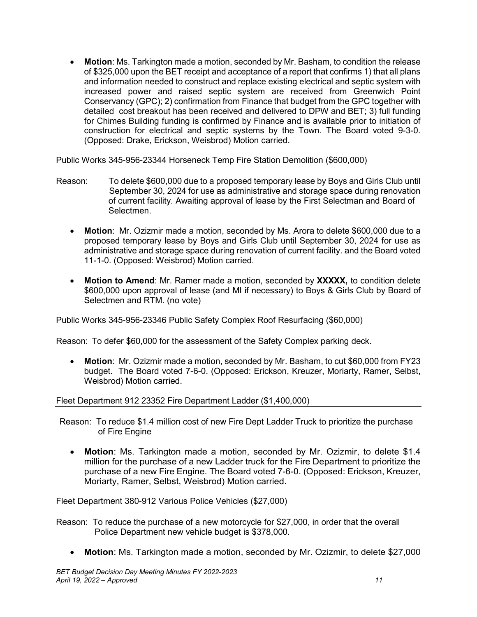• **Motion**: Ms. Tarkington made a motion, seconded by Mr. Basham, to condition the release of \$325,000 upon the BET receipt and acceptance of a report that confirms 1) that all plans and information needed to construct and replace existing electrical and septic system with increased power and raised septic system are received from Greenwich Point Conservancy (GPC); 2) confirmation from Finance that budget from the GPC together with detailed cost breakout has been received and delivered to DPW and BET; 3) full funding for Chimes Building funding is confirmed by Finance and is available prior to initiation of construction for electrical and septic systems by the Town. The Board voted 9-3-0. (Opposed: Drake, Erickson, Weisbrod) Motion carried.

Public Works 345-956-23344 Horseneck Temp Fire Station Demolition (\$600,000)

- Reason: To delete \$600,000 due to a proposed temporary lease by Boys and Girls Club until September 30, 2024 for use as administrative and storage space during renovation of current facility. Awaiting approval of lease by the First Selectman and Board of Selectmen.
	- **Motion**: Mr. Ozizmir made a motion, seconded by Ms. Arora to delete \$600,000 due to a proposed temporary lease by Boys and Girls Club until September 30, 2024 for use as administrative and storage space during renovation of current facility. and the Board voted 11-1-0. (Opposed: Weisbrod) Motion carried.
	- **Motion to Amend**: Mr. Ramer made a motion, seconded by **XXXXX,** to condition delete \$600,000 upon approval of lease (and MI if necessary) to Boys & Girls Club by Board of Selectmen and RTM. (no vote)

## Public Works 345-956-23346 Public Safety Complex Roof Resurfacing (\$60,000)

Reason: To defer \$60,000 for the assessment of the Safety Complex parking deck.

• **Motion**: Mr. Ozizmir made a motion, seconded by Mr. Basham, to cut \$60,000 from FY23 budget. The Board voted 7-6-0. (Opposed: Erickson, Kreuzer, Moriarty, Ramer, Selbst, Weisbrod) Motion carried.

Fleet Department 912 23352 Fire Department Ladder (\$1,400,000)

- Reason: To reduce \$1.4 million cost of new Fire Dept Ladder Truck to prioritize the purchase of Fire Engine
	- **Motion**: Ms. Tarkington made a motion, seconded by Mr. Ozizmir, to delete \$1.4 million for the purchase of a new Ladder truck for the Fire Department to prioritize the purchase of a new Fire Engine. The Board voted 7-6-0. (Opposed: Erickson, Kreuzer, Moriarty, Ramer, Selbst, Weisbrod) Motion carried.

Fleet Department 380-912 Various Police Vehicles (\$27,000)

- Reason: To reduce the purchase of a new motorcycle for \$27,000, in order that the overall Police Department new vehicle budget is \$378,000.
	- **Motion**: Ms. Tarkington made a motion, seconded by Mr. Ozizmir, to delete \$27,000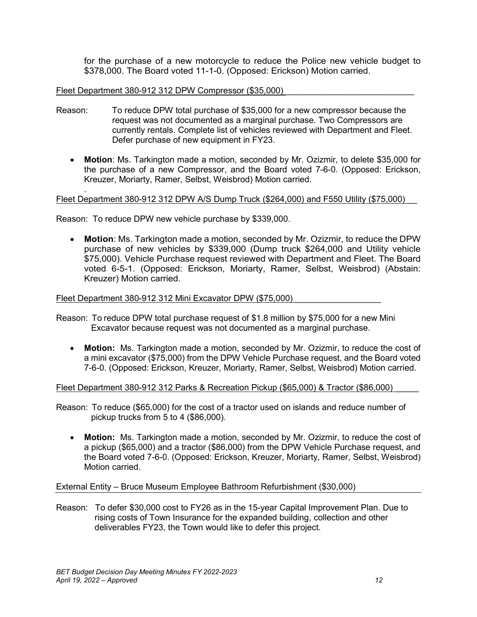for the purchase of a new motorcycle to reduce the Police new vehicle budget to \$378,000. The Board voted 11-1-0. (Opposed: Erickson) Motion carried.

#### Fleet Department 380-912 312 DPW Compressor (\$35,000)

- Reason: To reduce DPW total purchase of \$35,000 for a new compressor because the request was not documented as a marginal purchase. Two Compressors are currently rentals. Complete list of vehicles reviewed with Department and Fleet. Defer purchase of new equipment in FY23.
	- **Motion**: Ms. Tarkington made a motion, seconded by Mr. Ozizmir, to delete \$35,000 for the purchase of a new Compressor, and the Board voted 7-6-0. (Opposed: Erickson, Kreuzer, Moriarty, Ramer, Selbst, Weisbrod) Motion carried.

#### . Fleet Department 380-912 312 DPW A/S Dump Truck (\$264,000) and F550 Utility (\$75,000)

Reason: To reduce DPW new vehicle purchase by \$339,000.

• **Motion**: Ms. Tarkington made a motion, seconded by Mr. Ozizmir, to reduce the DPW purchase of new vehicles by \$339,000 (Dump truck \$264,000 and Utility vehicle \$75,000). Vehicle Purchase request reviewed with Department and Fleet. The Board voted 6-5-1. (Opposed: Erickson, Moriarty, Ramer, Selbst, Weisbrod) (Abstain: Kreuzer) Motion carried.

#### Fleet Department 380-912 312 Mini Excavator DPW (\$75,000)

Reason: To reduce DPW total purchase request of \$1.8 million by \$75,000 for a new Mini Excavator because request was not documented as a marginal purchase.

• **Motion:** Ms. Tarkington made a motion, seconded by Mr. Ozizmir, to reduce the cost of a mini excavator (\$75,000) from the DPW Vehicle Purchase request, and the Board voted 7-6-0. (Opposed: Erickson, Kreuzer, Moriarty, Ramer, Selbst, Weisbrod) Motion carried.

Fleet Department 380-912 312 Parks & Recreation Pickup (\$65,000) & Tractor (\$86,000) \_\_\_\_\_

Reason: To reduce (\$65,000) for the cost of a tractor used on islands and reduce number of pickup trucks from 5 to 4 (\$86,000).

• **Motion:** Ms. Tarkington made a motion, seconded by Mr. Ozizmir, to reduce the cost of a pickup (\$65,000) and a tractor (\$86,000) from the DPW Vehicle Purchase request, and the Board voted 7-6-0. (Opposed: Erickson, Kreuzer, Moriarty, Ramer, Selbst, Weisbrod) Motion carried.

## External Entity – Bruce Museum Employee Bathroom Refurbishment (\$30,000)

Reason: To defer \$30,000 cost to FY26 as in the 15-year Capital Improvement Plan. Due to rising costs of Town Insurance for the expanded building, collection and other deliverables FY23, the Town would like to defer this project.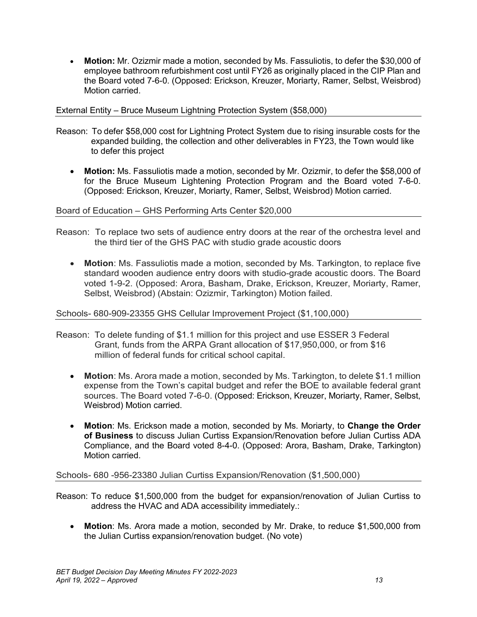• **Motion:** Mr. Ozizmir made a motion, seconded by Ms. Fassuliotis, to defer the \$30,000 of employee bathroom refurbishment cost until FY26 as originally placed in the CIP Plan and the Board voted 7-6-0. (Opposed: Erickson, Kreuzer, Moriarty, Ramer, Selbst, Weisbrod) Motion carried.

## External Entity – Bruce Museum Lightning Protection System (\$58,000)

- Reason: To defer \$58,000 cost for Lightning Protect System due to rising insurable costs for the expanded building, the collection and other deliverables in FY23, the Town would like to defer this project
	- **Motion:** Ms. Fassuliotis made a motion, seconded by Mr. Ozizmir, to defer the \$58,000 of for the Bruce Museum Lightening Protection Program and the Board voted 7-6-0. (Opposed: Erickson, Kreuzer, Moriarty, Ramer, Selbst, Weisbrod) Motion carried.

## Board of Education – GHS Performing Arts Center \$20,000

- Reason: To replace two sets of audience entry doors at the rear of the orchestra level and the third tier of the GHS PAC with studio grade acoustic doors
	- **Motion**: Ms. Fassuliotis made a motion, seconded by Ms. Tarkington, to replace five standard wooden audience entry doors with studio-grade acoustic doors. The Board voted 1-9-2. (Opposed: Arora, Basham, Drake, Erickson, Kreuzer, Moriarty, Ramer, Selbst, Weisbrod) (Abstain: Ozizmir, Tarkington) Motion failed.

## Schools- 680-909-23355 GHS Cellular Improvement Project (\$1,100,000)

- Reason: To delete funding of \$1.1 million for this project and use ESSER 3 Federal Grant, funds from the ARPA Grant allocation of \$17,950,000, or from \$16 million of federal funds for critical school capital.
	- **Motion**: Ms. Arora made a motion, seconded by Ms. Tarkington, to delete \$1.1 million expense from the Town's capital budget and refer the BOE to available federal grant sources. The Board voted 7-6-0. (Opposed: Erickson, Kreuzer, Moriarty, Ramer, Selbst, Weisbrod) Motion carried.
	- **Motion**: Ms. Erickson made a motion, seconded by Ms. Moriarty, to **Change the Order of Business** to discuss Julian Curtiss Expansion/Renovation before Julian Curtiss ADA Compliance, and the Board voted 8-4-0. (Opposed: Arora, Basham, Drake, Tarkington) Motion carried.

## Schools- 680 -956-23380 Julian Curtiss Expansion/Renovation (\$1,500,000)

Reason: To reduce \$1,500,000 from the budget for expansion/renovation of Julian Curtiss to address the HVAC and ADA accessibility immediately.:

• **Motion**: Ms. Arora made a motion, seconded by Mr. Drake, to reduce \$1,500,000 from the Julian Curtiss expansion/renovation budget. (No vote)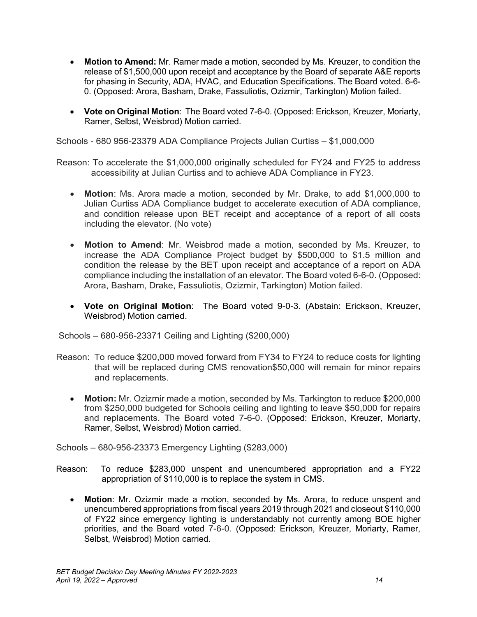- **Motion to Amend:** Mr. Ramer made a motion, seconded by Ms. Kreuzer, to condition the release of \$1,500,000 upon receipt and acceptance by the Board of separate A&E reports for phasing in Security, ADA, HVAC, and Education Specifications. The Board voted. 6-6- 0. (Opposed: Arora, Basham, Drake, Fassuliotis, Ozizmir, Tarkington) Motion failed.
- **Vote on Original Motion**: The Board voted 7-6-0. (Opposed: Erickson, Kreuzer, Moriarty, Ramer, Selbst, Weisbrod) Motion carried.

### Schools - 680 956-23379 ADA Compliance Projects Julian Curtiss – \$1,000,000

Reason: To accelerate the \$1,000,000 originally scheduled for FY24 and FY25 to address accessibility at Julian Curtiss and to achieve ADA Compliance in FY23.

- **Motion**: Ms. Arora made a motion, seconded by Mr. Drake, to add \$1,000,000 to Julian Curtiss ADA Compliance budget to accelerate execution of ADA compliance, and condition release upon BET receipt and acceptance of a report of all costs including the elevator. (No vote)
- **Motion to Amend**: Mr. Weisbrod made a motion, seconded by Ms. Kreuzer, to increase the ADA Compliance Project budget by \$500,000 to \$1.5 million and condition the release by the BET upon receipt and acceptance of a report on ADA compliance including the installation of an elevator. The Board voted 6-6-0. (Opposed: Arora, Basham, Drake, Fassuliotis, Ozizmir, Tarkington) Motion failed.
- **Vote on Original Motion**: The Board voted 9-0-3. (Abstain: Erickson, Kreuzer, Weisbrod) Motion carried.

#### Schools – 680-956-23371 Ceiling and Lighting (\$200,000)

- Reason: To reduce \$200,000 moved forward from FY34 to FY24 to reduce costs for lighting that will be replaced during CMS renovation\$50,000 will remain for minor repairs and replacements.
	- **Motion:** Mr. Ozizmir made a motion, seconded by Ms. Tarkington to reduce \$200,000 from \$250,000 budgeted for Schools ceiling and lighting to leave \$50,000 for repairs and replacements. The Board voted 7-6-0. (Opposed: Erickson, Kreuzer, Moriarty, Ramer, Selbst, Weisbrod) Motion carried.

## Schools – 680-956-23373 Emergency Lighting (\$283,000)

- Reason: To reduce \$283,000 unspent and unencumbered appropriation and a FY22 appropriation of \$110,000 is to replace the system in CMS.
	- **Motion**: Mr. Ozizmir made a motion, seconded by Ms. Arora, to reduce unspent and unencumbered appropriations from fiscal years 2019 through 2021 and closeout \$110,000 of FY22 since emergency lighting is understandably not currently among BOE higher priorities, and the Board voted 7-6-0. (Opposed: Erickson, Kreuzer, Moriarty, Ramer, Selbst, Weisbrod) Motion carried.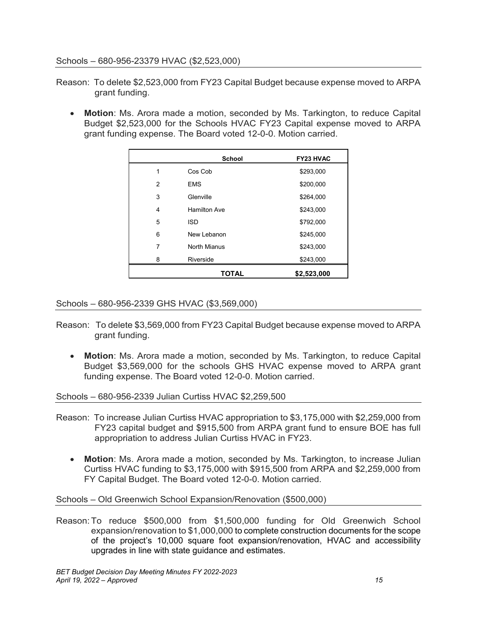#### Schools – 680-956-23379 HVAC (\$2,523,000)

- Reason: To delete \$2,523,000 from FY23 Capital Budget because expense moved to ARPA grant funding.
	- **Motion**: Ms. Arora made a motion, seconded by Ms. Tarkington, to reduce Capital Budget \$2,523,000 for the Schools HVAC FY23 Capital expense moved to ARPA grant funding expense. The Board voted 12-0-0. Motion carried.

|                | <b>School</b>       | <b>FY23 HVAC</b> |
|----------------|---------------------|------------------|
| 1              | Cos Cob             | \$293,000        |
| $\overline{2}$ | <b>EMS</b>          | \$200,000        |
| 3              | Glenville           | \$264,000        |
| 4              | Hamilton Ave        | \$243,000        |
| 5              | ISD                 | \$792,000        |
| 6              | New Lebanon         | \$245,000        |
| 7              | <b>North Mianus</b> | \$243,000        |
| 8              | Riverside           | \$243,000        |
|                | <b>TOTAL</b>        | \$2,523,000      |

Schools – 680-956-2339 GHS HVAC (\$3,569,000)

- Reason: To delete \$3,569,000 from FY23 Capital Budget because expense moved to ARPA grant funding.
	- **Motion**: Ms. Arora made a motion, seconded by Ms. Tarkington, to reduce Capital Budget \$3,569,000 for the schools GHS HVAC expense moved to ARPA grant funding expense. The Board voted 12-0-0. Motion carried.

Schools – 680-956-2339 Julian Curtiss HVAC \$2,259,500

- Reason: To increase Julian Curtiss HVAC appropriation to \$3,175,000 with \$2,259,000 from FY23 capital budget and \$915,500 from ARPA grant fund to ensure BOE has full appropriation to address Julian Curtiss HVAC in FY23.
	- **Motion**: Ms. Arora made a motion, seconded by Ms. Tarkington, to increase Julian Curtiss HVAC funding to \$3,175,000 with \$915,500 from ARPA and \$2,259,000 from FY Capital Budget. The Board voted 12-0-0. Motion carried.

Schools – Old Greenwich School Expansion/Renovation (\$500,000)

Reason: To reduce \$500,000 from \$1,500,000 funding for Old Greenwich School expansion/renovation to \$1,000,000 to complete construction documents for the scope of the project's 10,000 square foot expansion/renovation, HVAC and accessibility upgrades in line with state guidance and estimates.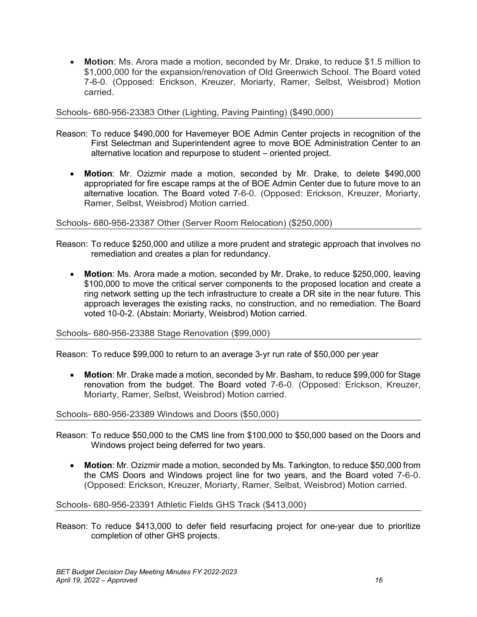• **Motion**: Ms. Arora made a motion, seconded by Mr. Drake, to reduce \$1.5 million to \$1,000,000 for the expansion/renovation of Old Greenwich School. The Board voted 7-6-0. (Opposed: Erickson, Kreuzer, Moriarty, Ramer, Selbst, Weisbrod) Motion carried.

#### Schools- 680-956-23383 Other (Lighting, Paving Painting) (\$490,000)

- Reason: To reduce \$490,000 for Havemeyer BOE Admin Center projects in recognition of the First Selectman and Superintendent agree to move BOE Administration Center to an alternative location and repurpose to student – oriented project.
	- **Motion**: Mr. Ozizmir made a motion, seconded by Mr. Drake, to delete \$490,000 appropriated for fire escape ramps at the of BOE Admin Center due to future move to an alternative location. The Board voted 7-6-0. (Opposed: Erickson, Kreuzer, Moriarty, Ramer, Selbst, Weisbrod) Motion carried.

#### Schools- 680-956-23387 Other (Server Room Relocation) (\$250,000)

- Reason: To reduce \$250,000 and utilize a more prudent and strategic approach that involves no remediation and creates a plan for redundancy.
	- **Motion**: Ms. Arora made a motion, seconded by Mr. Drake, to reduce \$250,000, leaving \$100,000 to move the critical server components to the proposed location and create a ring network setting up the tech infrastructure to create a DR site in the near future. This approach leverages the existing racks, no construction, and no remediation. The Board voted 10-0-2. (Abstain: Moriarty, Weisbrod) Motion carried.

#### Schools- 680-956-23388 Stage Renovation (\$99,000)

Reason: To reduce \$99,000 to return to an average 3-yr run rate of \$50,000 per year

• **Motion**: Mr. Drake made a motion, seconded by Mr. Basham, to reduce \$99,000 for Stage renovation from the budget. The Board voted 7-6-0. (Opposed: Erickson, Kreuzer, Moriarty, Ramer, Selbst, Weisbrod) Motion carried.

#### Schools- 680-956-23389 Windows and Doors (\$50,000)

- Reason: To reduce \$50,000 to the CMS line from \$100,000 to \$50,000 based on the Doors and Windows project being deferred for two years.
	- **Motion**: Mr. Ozizmir made a motion, seconded by Ms. Tarkington, to reduce \$50,000 from the CMS Doors and Windows project line for two years, and the Board voted 7-6-0. (Opposed: Erickson, Kreuzer, Moriarty, Ramer, Selbst, Weisbrod) Motion carried.

#### Schools- 680-956-23391 Athletic Fields GHS Track (\$413,000)

Reason: To reduce \$413,000 to defer field resurfacing project for one-year due to prioritize completion of other GHS projects.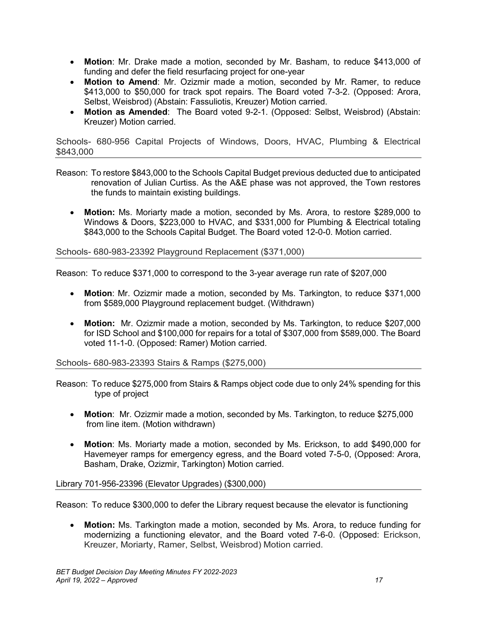- **Motion**: Mr. Drake made a motion, seconded by Mr. Basham, to reduce \$413,000 of funding and defer the field resurfacing project for one-year
- **Motion to Amend**: Mr. Ozizmir made a motion, seconded by Mr. Ramer, to reduce \$413,000 to \$50,000 for track spot repairs. The Board voted 7-3-2. (Opposed: Arora, Selbst, Weisbrod) (Abstain: Fassuliotis, Kreuzer) Motion carried.
- **Motion as Amended**: The Board voted 9-2-1. (Opposed: Selbst, Weisbrod) (Abstain: Kreuzer) Motion carried.

Schools- 680-956 Capital Projects of Windows, Doors, HVAC, Plumbing & Electrical \$843,000

- Reason: To restore \$843,000 to the Schools Capital Budget previous deducted due to anticipated renovation of Julian Curtiss. As the A&E phase was not approved, the Town restores the funds to maintain existing buildings.
	- **Motion:** Ms. Moriarty made a motion, seconded by Ms. Arora, to restore \$289,000 to Windows & Doors, \$223,000 to HVAC, and \$331,000 for Plumbing & Electrical totaling \$843,000 to the Schools Capital Budget. The Board voted 12-0-0. Motion carried.

Schools- 680-983-23392 Playground Replacement (\$371,000)

Reason: To reduce \$371,000 to correspond to the 3-year average run rate of \$207,000

- **Motion**: Mr. Ozizmir made a motion, seconded by Ms. Tarkington, to reduce \$371,000 from \$589,000 Playground replacement budget. (Withdrawn)
- **Motion:** Mr. Ozizmir made a motion, seconded by Ms. Tarkington, to reduce \$207,000 for ISD School and \$100,000 for repairs for a total of \$307,000 from \$589,000. The Board voted 11-1-0. (Opposed: Ramer) Motion carried.

Schools- 680-983-23393 Stairs & Ramps (\$275,000)

Reason: To reduce \$275,000 from Stairs & Ramps object code due to only 24% spending for this type of project

- **Motion**: Mr. Ozizmir made a motion, seconded by Ms. Tarkington, to reduce \$275,000 from line item. (Motion withdrawn)
- **Motion**: Ms. Moriarty made a motion, seconded by Ms. Erickson, to add \$490,000 for Havemeyer ramps for emergency egress, and the Board voted 7-5-0, (Opposed: Arora, Basham, Drake, Ozizmir, Tarkington) Motion carried.

## Library 701-956-23396 (Elevator Upgrades) (\$300,000)

Reason: To reduce \$300,000 to defer the Library request because the elevator is functioning

• **Motion:** Ms. Tarkington made a motion, seconded by Ms. Arora, to reduce funding for modernizing a functioning elevator, and the Board voted 7-6-0. (Opposed: Erickson, Kreuzer, Moriarty, Ramer, Selbst, Weisbrod) Motion carried.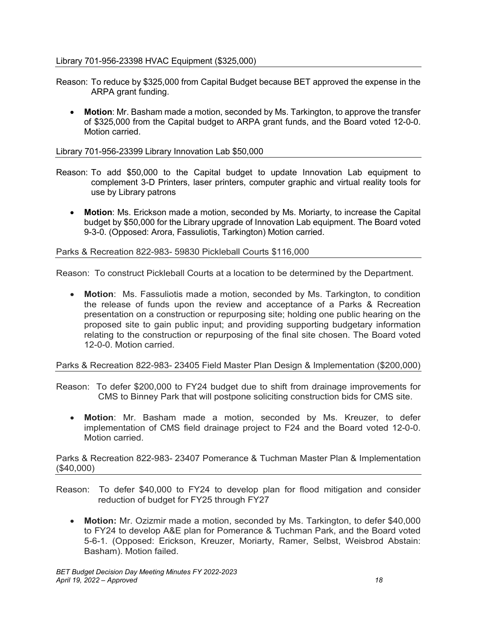### Library 701-956-23398 HVAC Equipment (\$325,000)

- Reason: To reduce by \$325,000 from Capital Budget because BET approved the expense in the ARPA grant funding.
	- **Motion**: Mr. Basham made a motion, seconded by Ms. Tarkington, to approve the transfer of \$325,000 from the Capital budget to ARPA grant funds, and the Board voted 12-0-0. Motion carried.

#### Library 701-956-23399 Library Innovation Lab \$50,000

- Reason: To add \$50,000 to the Capital budget to update Innovation Lab equipment to complement 3-D Printers, laser printers, computer graphic and virtual reality tools for use by Library patrons
	- **Motion**: Ms. Erickson made a motion, seconded by Ms. Moriarty, to increase the Capital budget by \$50,000 for the Library upgrade of Innovation Lab equipment. The Board voted 9-3-0. (Opposed: Arora, Fassuliotis, Tarkington) Motion carried.

#### Parks & Recreation 822-983- 59830 Pickleball Courts \$116,000

Reason: To construct Pickleball Courts at a location to be determined by the Department.

• **Motion**: Ms. Fassuliotis made a motion, seconded by Ms. Tarkington, to condition the release of funds upon the review and acceptance of a Parks & Recreation presentation on a construction or repurposing site; holding one public hearing on the proposed site to gain public input; and providing supporting budgetary information relating to the construction or repurposing of the final site chosen. The Board voted 12-0-0. Motion carried.

## Parks & Recreation 822-983- 23405 Field Master Plan Design & Implementation (\$200,000)

- Reason: To defer \$200,000 to FY24 budget due to shift from drainage improvements for CMS to Binney Park that will postpone soliciting construction bids for CMS site.
	- **Motion**: Mr. Basham made a motion, seconded by Ms. Kreuzer, to defer implementation of CMS field drainage project to F24 and the Board voted 12-0-0. Motion carried.

Parks & Recreation 822-983- 23407 Pomerance & Tuchman Master Plan & Implementation (\$40,000)

- Reason: To defer \$40,000 to FY24 to develop plan for flood mitigation and consider reduction of budget for FY25 through FY27
	- **Motion:** Mr. Ozizmir made a motion, seconded by Ms. Tarkington, to defer \$40,000 to FY24 to develop A&E plan for Pomerance & Tuchman Park, and the Board voted 5-6-1. (Opposed: Erickson, Kreuzer, Moriarty, Ramer, Selbst, Weisbrod Abstain: Basham). Motion failed.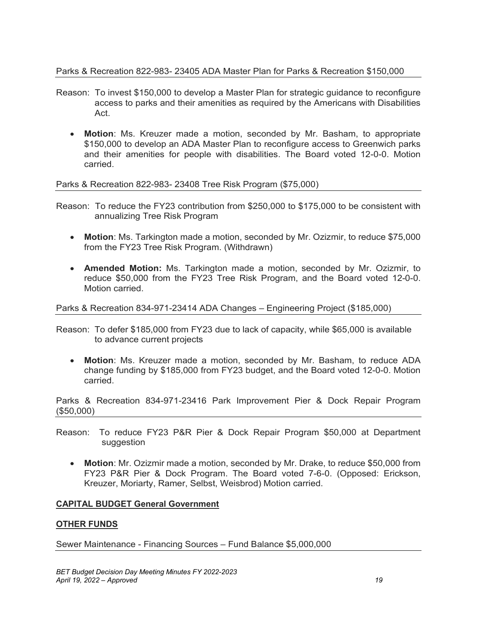## Parks & Recreation 822-983- 23405 ADA Master Plan for Parks & Recreation \$150,000

- Reason: To invest \$150,000 to develop a Master Plan for strategic guidance to reconfigure access to parks and their amenities as required by the Americans with Disabilities Act.
	- **Motion**: Ms. Kreuzer made a motion, seconded by Mr. Basham, to appropriate \$150,000 to develop an ADA Master Plan to reconfigure access to Greenwich parks and their amenities for people with disabilities. The Board voted 12-0-0. Motion carried.

Parks & Recreation 822-983- 23408 Tree Risk Program (\$75,000)

- Reason: To reduce the FY23 contribution from \$250,000 to \$175,000 to be consistent with annualizing Tree Risk Program
	- **Motion**: Ms. Tarkington made a motion, seconded by Mr. Ozizmir, to reduce \$75,000 from the FY23 Tree Risk Program. (Withdrawn)
	- **Amended Motion:** Ms. Tarkington made a motion, seconded by Mr. Ozizmir, to reduce \$50,000 from the FY23 Tree Risk Program, and the Board voted 12-0-0. Motion carried.

### Parks & Recreation 834-971-23414 ADA Changes – Engineering Project (\$185,000)

- Reason: To defer \$185,000 from FY23 due to lack of capacity, while \$65,000 is available to advance current projects
	- **Motion**: Ms. Kreuzer made a motion, seconded by Mr. Basham, to reduce ADA change funding by \$185,000 from FY23 budget, and the Board voted 12-0-0. Motion carried.

Parks & Recreation 834-971-23416 Park Improvement Pier & Dock Repair Program (\$50,000)

- Reason: To reduce FY23 P&R Pier & Dock Repair Program \$50,000 at Department suggestion
	- **Motion**: Mr. Ozizmir made a motion, seconded by Mr. Drake, to reduce \$50,000 from FY23 P&R Pier & Dock Program. The Board voted 7-6-0. (Opposed: Erickson, Kreuzer, Moriarty, Ramer, Selbst, Weisbrod) Motion carried.

## **CAPITAL BUDGET General Government**

## **OTHER FUNDS**

Sewer Maintenance - Financing Sources – Fund Balance \$5,000,000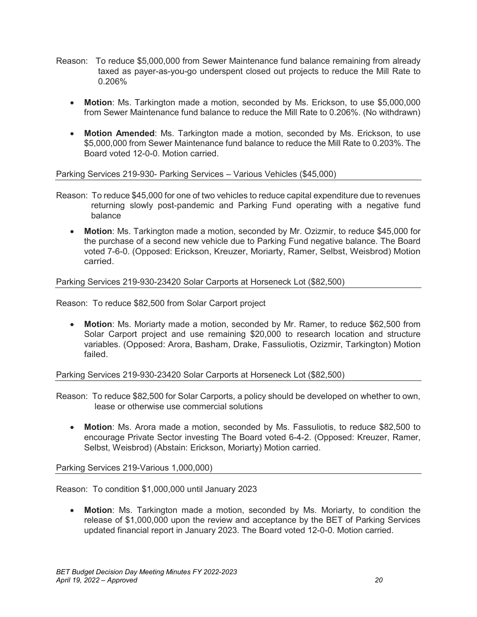- Reason: To reduce \$5,000,000 from Sewer Maintenance fund balance remaining from already taxed as payer-as-you-go underspent closed out projects to reduce the Mill Rate to 0.206%
	- **Motion**: Ms. Tarkington made a motion, seconded by Ms. Erickson, to use \$5,000,000 from Sewer Maintenance fund balance to reduce the Mill Rate to 0.206%. (No withdrawn)
	- **Motion Amended**: Ms. Tarkington made a motion, seconded by Ms. Erickson, to use \$5,000,000 from Sewer Maintenance fund balance to reduce the Mill Rate to 0.203%. The Board voted 12-0-0. Motion carried.

Parking Services 219-930- Parking Services – Various Vehicles (\$45,000)

- Reason: To reduce \$45,000 for one of two vehicles to reduce capital expenditure due to revenues returning slowly post-pandemic and Parking Fund operating with a negative fund balance
	- **Motion**: Ms. Tarkington made a motion, seconded by Mr. Ozizmir, to reduce \$45,000 for the purchase of a second new vehicle due to Parking Fund negative balance. The Board voted 7-6-0. (Opposed: Erickson, Kreuzer, Moriarty, Ramer, Selbst, Weisbrod) Motion carried.

Parking Services 219-930-23420 Solar Carports at Horseneck Lot (\$82,500)

Reason: To reduce \$82,500 from Solar Carport project

• **Motion**: Ms. Moriarty made a motion, seconded by Mr. Ramer, to reduce \$62,500 from Solar Carport project and use remaining \$20,000 to research location and structure variables. (Opposed: Arora, Basham, Drake, Fassuliotis, Ozizmir, Tarkington) Motion failed.

Parking Services 219-930-23420 Solar Carports at Horseneck Lot (\$82,500)

Reason: To reduce \$82,500 for Solar Carports, a policy should be developed on whether to own, lease or otherwise use commercial solutions

• **Motion**: Ms. Arora made a motion, seconded by Ms. Fassuliotis, to reduce \$82,500 to encourage Private Sector investing The Board voted 6-4-2. (Opposed: Kreuzer, Ramer, Selbst, Weisbrod) (Abstain: Erickson, Moriarty) Motion carried.

Parking Services 219-Various 1,000,000)

Reason: To condition \$1,000,000 until January 2023

• **Motion**: Ms. Tarkington made a motion, seconded by Ms. Moriarty, to condition the release of \$1,000,000 upon the review and acceptance by the BET of Parking Services updated financial report in January 2023. The Board voted 12-0-0. Motion carried.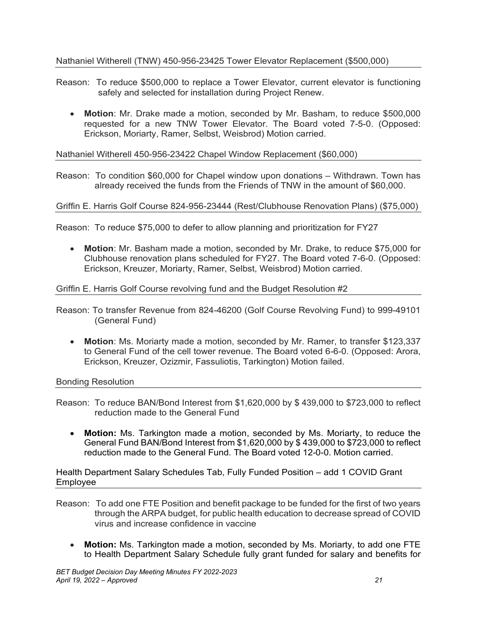## Nathaniel Witherell (TNW) 450-956-23425 Tower Elevator Replacement (\$500,000)

- Reason: To reduce \$500,000 to replace a Tower Elevator, current elevator is functioning safely and selected for installation during Project Renew.
	- **Motion**: Mr. Drake made a motion, seconded by Mr. Basham, to reduce \$500,000 requested for a new TNW Tower Elevator. The Board voted 7-5-0. (Opposed: Erickson, Moriarty, Ramer, Selbst, Weisbrod) Motion carried.

Nathaniel Witherell 450-956-23422 Chapel Window Replacement (\$60,000)

Reason: To condition \$60,000 for Chapel window upon donations – Withdrawn. Town has already received the funds from the Friends of TNW in the amount of \$60,000.

Griffin E. Harris Golf Course 824-956-23444 (Rest/Clubhouse Renovation Plans) (\$75,000)

Reason: To reduce \$75,000 to defer to allow planning and prioritization for FY27

• **Motion**: Mr. Basham made a motion, seconded by Mr. Drake, to reduce \$75,000 for Clubhouse renovation plans scheduled for FY27. The Board voted 7-6-0. (Opposed: Erickson, Kreuzer, Moriarty, Ramer, Selbst, Weisbrod) Motion carried.

## Griffin E. Harris Golf Course revolving fund and the Budget Resolution #2

- Reason: To transfer Revenue from 824-46200 (Golf Course Revolving Fund) to 999-49101 (General Fund)
	- **Motion**: Ms. Moriarty made a motion, seconded by Mr. Ramer, to transfer \$123,337 to General Fund of the cell tower revenue. The Board voted 6-6-0. (Opposed: Arora, Erickson, Kreuzer, Ozizmir, Fassuliotis, Tarkington) Motion failed.

Bonding Resolution

- Reason: To reduce BAN/Bond Interest from  $$1,620,000$  by  $$439,000$  to  $$723,000$  to reflect reduction made to the General Fund
	- **Motion:** Ms. Tarkington made a motion, seconded by Ms. Moriarty, to reduce the General Fund BAN/Bond Interest from \$1,620,000 by \$ 439,000 to \$723,000 to reflect reduction made to the General Fund. The Board voted 12-0-0. Motion carried.

Health Department Salary Schedules Tab, Fully Funded Position – add 1 COVID Grant Employee

- Reason: To add one FTE Position and benefit package to be funded for the first of two years through the ARPA budget, for public health education to decrease spread of COVID virus and increase confidence in vaccine
	- **Motion:** Ms. Tarkington made a motion, seconded by Ms. Moriarty, to add one FTE to Health Department Salary Schedule fully grant funded for salary and benefits for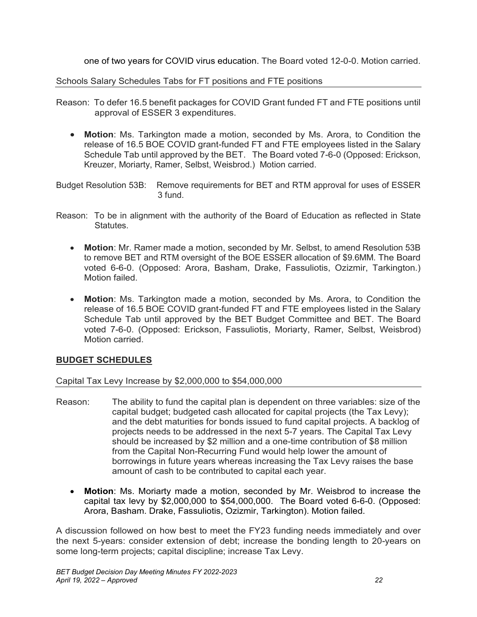one of two years for COVID virus education. The Board voted 12-0-0. Motion carried.

Schools Salary Schedules Tabs for FT positions and FTE positions

- Reason: To defer 16.5 benefit packages for COVID Grant funded FT and FTE positions until approval of ESSER 3 expenditures.
	- **Motion**: Ms. Tarkington made a motion, seconded by Ms. Arora, to Condition the release of 16.5 BOE COVID grant-funded FT and FTE employees listed in the Salary Schedule Tab until approved by the BET. The Board voted 7-6-0 (Opposed: Erickson, Kreuzer, Moriarty, Ramer, Selbst, Weisbrod.) Motion carried.
- Budget Resolution 53B: Remove requirements for BET and RTM approval for uses of ESSER 3 fund.
- Reason: To be in alignment with the authority of the Board of Education as reflected in State **Statutes** 
	- **Motion**: Mr. Ramer made a motion, seconded by Mr. Selbst, to amend Resolution 53B to remove BET and RTM oversight of the BOE ESSER allocation of \$9.6MM. The Board voted 6-6-0. (Opposed: Arora, Basham, Drake, Fassuliotis, Ozizmir, Tarkington.) Motion failed.
	- **Motion**: Ms. Tarkington made a motion, seconded by Ms. Arora, to Condition the release of 16.5 BOE COVID grant-funded FT and FTE employees listed in the Salary Schedule Tab until approved by the BET Budget Committee and BET. The Board voted 7-6-0. (Opposed: Erickson, Fassuliotis, Moriarty, Ramer, Selbst, Weisbrod) Motion carried.

# **BUDGET SCHEDULES**

## Capital Tax Levy Increase by \$2,000,000 to \$54,000,000

- Reason: The ability to fund the capital plan is dependent on three variables: size of the capital budget; budgeted cash allocated for capital projects (the Tax Levy); and the debt maturities for bonds issued to fund capital projects. A backlog of projects needs to be addressed in the next 5-7 years. The Capital Tax Levy should be increased by \$2 million and a one-time contribution of \$8 million from the Capital Non-Recurring Fund would help lower the amount of borrowings in future years whereas increasing the Tax Levy raises the base amount of cash to be contributed to capital each year.
	- **Motion**: Ms. Moriarty made a motion, seconded by Mr. Weisbrod to increase the capital tax levy by \$2,000,000 to \$54,000,000. The Board voted 6-6-0. (Opposed: Arora, Basham. Drake, Fassuliotis, Ozizmir, Tarkington). Motion failed.

A discussion followed on how best to meet the FY23 funding needs immediately and over the next 5-years: consider extension of debt; increase the bonding length to 20-years on some long-term projects; capital discipline; increase Tax Levy.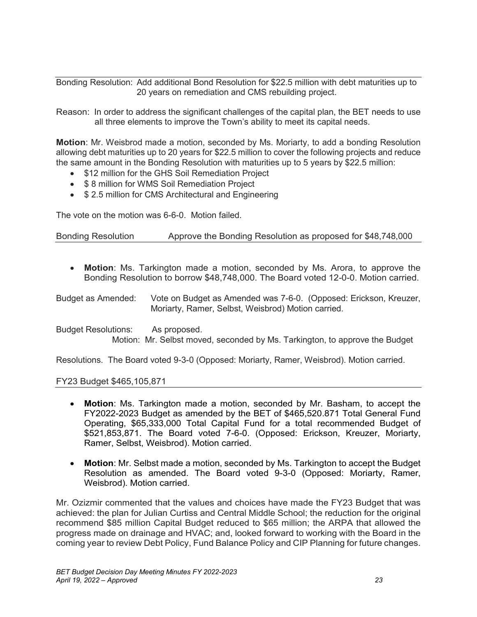Bonding Resolution: Add additional Bond Resolution for \$22.5 million with debt maturities up to 20 years on remediation and CMS rebuilding project.

Reason: In order to address the significant challenges of the capital plan, the BET needs to use all three elements to improve the Town's ability to meet its capital needs.

**Motion**: Mr. Weisbrod made a motion, seconded by Ms. Moriarty, to add a bonding Resolution allowing debt maturities up to 20 years for \$22.5 million to cover the following projects and reduce the same amount in the Bonding Resolution with maturities up to 5 years by \$22.5 million:

- \$12 million for the GHS Soil Remediation Project
- \$ 8 million for WMS Soil Remediation Project
- \$ 2.5 million for CMS Architectural and Engineering

The vote on the motion was 6-6-0. Motion failed.

Bonding Resolution Approve the Bonding Resolution as proposed for \$48,748,000

• **Motion**: Ms. Tarkington made a motion, seconded by Ms. Arora, to approve the Bonding Resolution to borrow \$48,748,000. The Board voted 12-0-0. Motion carried.

Budget as Amended: Vote on Budget as Amended was 7-6-0. (Opposed: Erickson, Kreuzer, Moriarty, Ramer, Selbst, Weisbrod) Motion carried.

Budget Resolutions: As proposed. Motion: Mr. Selbst moved, seconded by Ms. Tarkington, to approve the Budget

Resolutions. The Board voted 9-3-0 (Opposed: Moriarty, Ramer, Weisbrod). Motion carried.

#### FY23 Budget \$465,105,871

- **Motion**: Ms. Tarkington made a motion, seconded by Mr. Basham, to accept the FY2022-2023 Budget as amended by the BET of \$465,520.871 Total General Fund Operating, \$65,333,000 Total Capital Fund for a total recommended Budget of \$521,853,871. The Board voted 7-6-0. (Opposed: Erickson, Kreuzer, Moriarty, Ramer, Selbst, Weisbrod). Motion carried.
- **Motion**: Mr. Selbst made a motion, seconded by Ms. Tarkington to accept the Budget Resolution as amended. The Board voted 9-3-0 (Opposed: Moriarty, Ramer, Weisbrod). Motion carried.

Mr. Ozizmir commented that the values and choices have made the FY23 Budget that was achieved: the plan for Julian Curtiss and Central Middle School; the reduction for the original recommend \$85 million Capital Budget reduced to \$65 million; the ARPA that allowed the progress made on drainage and HVAC; and, looked forward to working with the Board in the coming year to review Debt Policy, Fund Balance Policy and CIP Planning for future changes.